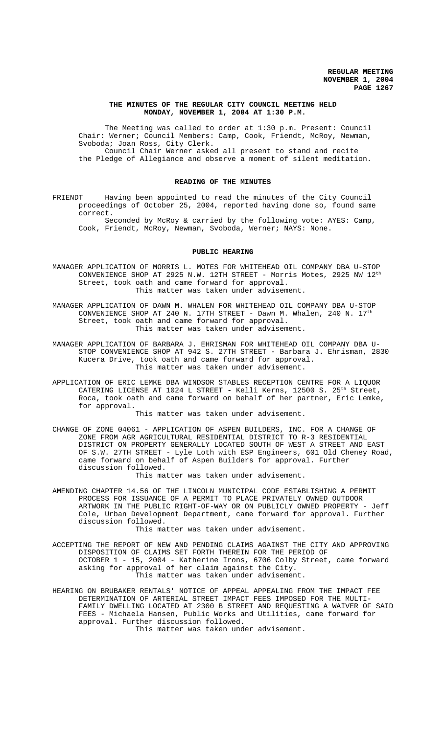## **THE MINUTES OF THE REGULAR CITY COUNCIL MEETING HELD MONDAY, NOVEMBER 1, 2004 AT 1:30 P.M.**

The Meeting was called to order at 1:30 p.m. Present: Council Chair: Werner; Council Members: Camp, Cook, Friendt, McRoy, Newman, Svoboda; Joan Ross, City Clerk. Council Chair Werner asked all present to stand and recite the Pledge of Allegiance and observe a moment of silent meditation.

#### **READING OF THE MINUTES**

FRIENDT Having been appointed to read the minutes of the City Council proceedings of October 25, 2004, reported having done so, found same correct.

Seconded by McRoy & carried by the following vote: AYES: Camp, Cook, Friendt, McRoy, Newman, Svoboda, Werner; NAYS: None.

## **PUBLIC HEARING**

MANAGER APPLICATION OF MORRIS L. MOTES FOR WHITEHEAD OIL COMPANY DBA U-STOP CONVENIENCE SHOP AT 2925 N.W. 12TH STREET - Morris Motes, 2925 NW  $12^{th}$ Street, took oath and came forward for approval. This matter was taken under advisement.

MANAGER APPLICATION OF DAWN M. WHALEN FOR WHITEHEAD OIL COMPANY DBA U-STOP CONVENIENCE SHOP AT 240 N. 17TH STREET - Dawn M. Whalen, 240 N. 17th Street, took oath and came forward for approval. This matter was taken under advisement.

MANAGER APPLICATION OF BARBARA J. EHRISMAN FOR WHITEHEAD OIL COMPANY DBA U-STOP CONVENIENCE SHOP AT 942 S. 27TH STREET - Barbara J. Ehrisman, 2830 Kucera Drive, took oath and came forward for approval. This matter was taken under advisement.

APPLICATION OF ERIC LEMKE DBA WINDSOR STABLES RECEPTION CENTRE FOR A LIQUOR CATERING LICENSE AT 1024 L STREET **-** Kelli Kerns, 12500 S. 25th Street, Roca, took oath and came forward on behalf of her partner, Eric Lemke, for approval.

This matter was taken under advisement.

CHANGE OF ZONE 04061 - APPLICATION OF ASPEN BUILDERS, INC. FOR A CHANGE OF ZONE FROM AGR AGRICULTURAL RESIDENTIAL DISTRICT TO R-3 RESIDENTIAL DISTRICT ON PROPERTY GENERALLY LOCATED SOUTH OF WEST A STREET AND EAST OF S.W. 27TH STREET - Lyle Loth with ESP Engineers, 601 Old Cheney Road, came forward on behalf of Aspen Builders for approval. Further discussion followed.

This matter was taken under advisement.

AMENDING CHAPTER 14.56 OF THE LINCOLN MUNICIPAL CODE ESTABLISHING A PERMIT PROCESS FOR ISSUANCE OF A PERMIT TO PLACE PRIVATELY OWNED OUTDOOR ARTWORK IN THE PUBLIC RIGHT-OF-WAY OR ON PUBLICLY OWNED PROPERTY - Jeff Cole, Urban Development Department, came forward for approval. Further discussion followed.

This matter was taken under advisement.

- ACCEPTING THE REPORT OF NEW AND PENDING CLAIMS AGAINST THE CITY AND APPROVING DISPOSITION OF CLAIMS SET FORTH THEREIN FOR THE PERIOD OF OCTOBER 1 - 15, 2004 - Katherine Irons, 6706 Colby Street, came forward asking for approval of her claim against the City. This matter was taken under advisement.
- HEARING ON BRUBAKER RENTALS' NOTICE OF APPEAL APPEALING FROM THE IMPACT FEE DETERMINATION OF ARTERIAL STREET IMPACT FEES IMPOSED FOR THE MULTI-FAMILY DWELLING LOCATED AT 2300 B STREET AND REQUESTING A WAIVER OF SAID FEES - Michaela Hansen, Public Works and Utilities, came forward for approval. Further discussion followed.

This matter was taken under advisement.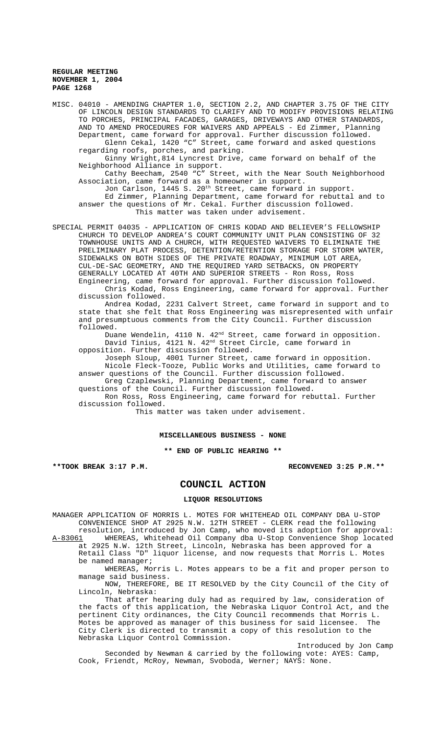MISC. 04010 - AMENDING CHAPTER 1.0, SECTION 2.2, AND CHAPTER 3.75 OF THE CITY OF LINCOLN DESIGN STANDARDS TO CLARIFY AND TO MODIFY PROVISIONS RELATING TO PORCHES, PRINCIPAL FACADES, GARAGES, DRIVEWAYS AND OTHER STANDARDS, AND TO AMEND PROCEDURES FOR WAIVERS AND APPEALS - Ed Zimmer, Planning Department, came forward for approval. Further discussion followed. Glenn Cekal, 1420 "C" Street, came forward and asked questions regarding roofs, porches, and parking. Ginny Wright,814 Lyncrest Drive, came forward on behalf of the Neighborhood Alliance in support. Cathy Beecham, 2540 "C" Street, with the Near South Neighborhood Association, came forward as a homeowner in support. Jon Carlson, 1445 S. 20th Street, came forward in support. Ed Zimmer, Planning Department, came forward for rebuttal and to answer the questions of Mr. Cekal. Further discussion followed. This matter was taken under advisement. SPECIAL PERMIT 04035 - APPLICATION OF CHRIS KODAD AND BELIEVER'S FELLOWSHIP CHURCH TO DEVELOP ANDREA'S COURT COMMUNITY UNIT PLAN CONSISTING OF 32 TOWNHOUSE UNITS AND A CHURCH, WITH REQUESTED WAIVERS TO ELIMINATE THE PRELIMINARY PLAT PROCESS, DETENTION/RETENTION STORAGE FOR STORM WATER, SIDEWALKS ON BOTH SIDES OF THE PRIVATE ROADWAY, MINIMUM LOT AREA, CUL-DE-SAC GEOMETRY, AND THE REQUIRED YARD SETBACKS, ON PROPERTY

GENERALLY LOCATED AT 40TH AND SUPERIOR STREETS - Ron Ross, Ross Engineering, came forward for approval. Further discussion followed. Chris Kodad, Ross Engineering, came forward for approval. Further discussion followed.

Andrea Kodad, 2231 Calvert Street, came forward in support and to state that she felt that Ross Engineering was misrepresented with unfair and presumptuous comments from the City Council. Further discussion followed.

Duane Wendelin, 4110 N. 42<sup>nd</sup> Street, came forward in opposition. David Tinius, 4121 N. 42<sup>nd</sup> Street Circle, came forward in opposition. Further discussion followed.

Joseph Sloup, 4001 Turner Street, came forward in opposition. Nicole Fleck-Tooze, Public Works and Utilities, came forward to answer questions of the Council. Further discussion followed.

Greg Czaplewski, Planning Department, came forward to answer questions of the Council. Further discussion followed.

Ron Ross, Ross Engineering, came forward for rebuttal. Further discussion followed.

This matter was taken under advisement.

## **MISCELLANEOUS BUSINESS - NONE**

**\*\* END OF PUBLIC HEARING \*\***

**\*\*TOOK BREAK 3:17 P.M. RECONVENED 3:25 P.M.\*\***

# **COUNCIL ACTION**

#### **LIQUOR RESOLUTIONS**

MANAGER APPLICATION OF MORRIS L. MOTES FOR WHITEHEAD OIL COMPANY DBA U-STOP CONVENIENCE SHOP AT 2925 N.W. 12TH STREET - CLERK read the following resolution, introduced by Jon Camp, who moved its adoption for approval:

A-83061 WHEREAS, Whitehead Oil Company dba U-Stop Convenience Shop located at 2925 N.W. 12th Street, Lincoln, Nebraska has been approved for a Retail Class "D" liquor license, and now requests that Morris L. Motes be named manager;

WHEREAS, Morris L. Motes appears to be a fit and proper person to manage said business.

NOW, THEREFORE, BE IT RESOLVED by the City Council of the City of Lincoln, Nebraska:

That after hearing duly had as required by law, consideration of the facts of this application, the Nebraska Liquor Control Act, and the pertinent City ordinances, the City Council recommends that Morris L.<br>Motes be approved as manager of this business for said licensee. The Motes be approved as manager of this business for said licensee. City Clerk is directed to transmit a copy of this resolution to the Nebraska Liquor Control Commission.

Introduced by Jon Camp Seconded by Newman & carried by the following vote: AYES: Camp, Cook, Friendt, McRoy, Newman, Svoboda, Werner; NAYS: None.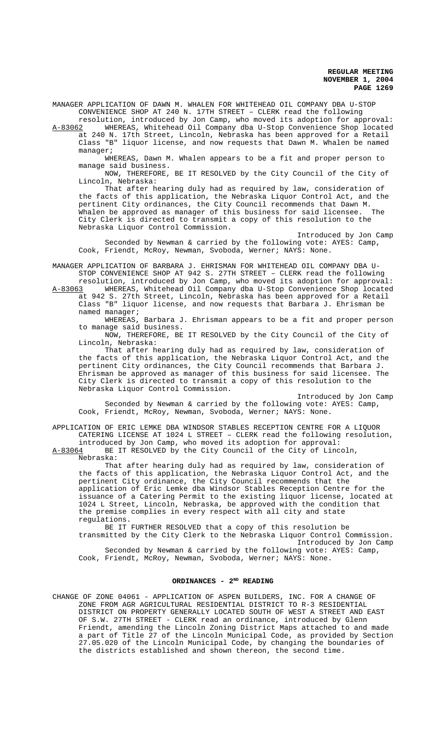MANAGER APPLICATION OF DAWN M. WHALEN FOR WHITEHEAD OIL COMPANY DBA U-STOP CONVENIENCE SHOP AT 240 N. 17TH STREET – CLERK read the following

resolution, introduced by Jon Camp, who moved its adoption for approval:<br>A-83062 WHEREAS, Whitehead Oil Company dba U-Stop Convenience Shop located A-83062 WHEREAS, Whitehead Oil Company dba U-Stop Convenience Shop located at 240 N. 17th Street, Lincoln, Nebraska has been approved for a Retail Class "B" liquor license, and now requests that Dawn M. Whalen be named manager;

WHEREAS, Dawn M. Whalen appears to be a fit and proper person to manage said business.

NOW, THEREFORE, BE IT RESOLVED by the City Council of the City of Lincoln, Nebraska:

That after hearing duly had as required by law, consideration of the facts of this application, the Nebraska Liquor Control Act, and the pertinent City ordinances, the City Council recommends that Dawn M. Whalen be approved as manager of this business for said licensee. The City Clerk is directed to transmit a copy of this resolution to the Nebraska Liquor Control Commission.

Introduced by Jon Camp Seconded by Newman & carried by the following vote: AYES: Camp, Cook, Friendt, McRoy, Newman, Svoboda, Werner; NAYS: None.

MANAGER APPLICATION OF BARBARA J. EHRISMAN FOR WHITEHEAD OIL COMPANY DBA U-STOP CONVENIENCE SHOP AT 942 S. 27TH STREET – CLERK read the following resolution, introduced by Jon Camp, who moved its adoption for approval:<br>A-83063 WHEREAS, Whitehead Oil Company dba U-Stop Convenience Shop located

WHEREAS, Whitehead Oil Company dba U-Stop Convenience Shop located at 942 S. 27th Street, Lincoln, Nebraska has been approved for a Retail Class "B" liquor license, and now requests that Barbara J. Ehrisman be named manager;

WHEREAS, Barbara J. Ehrisman appears to be a fit and proper person to manage said business.

NOW, THEREFORE, BE IT RESOLVED by the City Council of the City of Lincoln, Nebraska:

That after hearing duly had as required by law, consideration of the facts of this application, the Nebraska Liquor Control Act, and the pertinent City ordinances, the City Council recommends that Barbara J. Ehrisman be approved as manager of this business for said licensee. The City Clerk is directed to transmit a copy of this resolution to the Nebraska Liquor Control Commission.

Introduced by Jon Camp Seconded by Newman & carried by the following vote: AYES: Camp, Cook, Friendt, McRoy, Newman, Svoboda, Werner; NAYS: None.

APPLICATION OF ERIC LEMKE DBA WINDSOR STABLES RECEPTION CENTRE FOR A LIQUOR CATERING LICENSE AT 1024 L STREET – CLERK read the following resolution,

introduced by Jon Camp, who moved its adoption for approval:<br>A-83064 BE IT RESOLVED by the City Council of the City of Linc BE IT RESOLVED by the City Council of the City of Lincoln, Nebraska:

That after hearing duly had as required by law, consideration of the facts of this application, the Nebraska Liquor Control Act, and the pertinent City ordinance, the City Council recommends that the application of Eric Lemke dba Windsor Stables Reception Centre for the issuance of a Catering Permit to the existing liquor license, located at 1024 L Street, Lincoln, Nebraska, be approved with the condition that the premise complies in every respect with all city and state regulations.

BE IT FURTHER RESOLVED that a copy of this resolution be transmitted by the City Clerk to the Nebraska Liquor Control Commission. Introduced by Jon Camp Seconded by Newman & carried by the following vote: AYES: Camp, Cook, Friendt, McRoy, Newman, Svoboda, Werner; NAYS: None.

# ORDINANCES - 2<sup>ND</sup> READING

CHANGE OF ZONE 04061 - APPLICATION OF ASPEN BUILDERS, INC. FOR A CHANGE OF ZONE FROM AGR AGRICULTURAL RESIDENTIAL DISTRICT TO R-3 RESIDENTIAL DISTRICT ON PROPERTY GENERALLY LOCATED SOUTH OF WEST A STREET AND EAST OF S.W. 27TH STREET - CLERK read an ordinance, introduced by Glenn Friendt, amending the Lincoln Zoning District Maps attached to and made a part of Title 27 of the Lincoln Municipal Code, as provided by Section 27.05.020 of the Lincoln Municipal Code, by changing the boundaries of the districts established and shown thereon, the second time.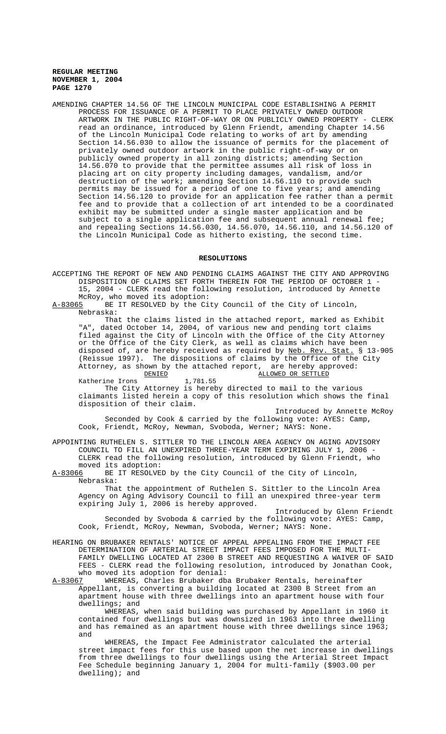AMENDING CHAPTER 14.56 OF THE LINCOLN MUNICIPAL CODE ESTABLISHING A PERMIT PROCESS FOR ISSUANCE OF A PERMIT TO PLACE PRIVATELY OWNED OUTDOOR ARTWORK IN THE PUBLIC RIGHT-OF-WAY OR ON PUBLICLY OWNED PROPERTY - CLERK read an ordinance, introduced by Glenn Friendt, amending Chapter 14.56 of the Lincoln Municipal Code relating to works of art by amending Section 14.56.030 to allow the issuance of permits for the placement of privately owned outdoor artwork in the public right-of-way or on publicly owned property in all zoning districts; amending Section 14.56.070 to provide that the permittee assumes all risk of loss in placing art on city property including damages, vandalism, and/or destruction of the work; amending Section 14.56.110 to provide such permits may be issued for a period of one to five years; and amending Section 14.56.120 to provide for an application fee rather than a permit fee and to provide that a collection of art intended to be a coordinated exhibit may be submitted under a single master application and be subject to a single application fee and subsequent annual renewal fee; and repealing Sections 14.56.030, 14.56.070, 14.56.110, and 14.56.120 of the Lincoln Municipal Code as hitherto existing, the second time.

#### **RESOLUTIONS**

ACCEPTING THE REPORT OF NEW AND PENDING CLAIMS AGAINST THE CITY AND APPROVING DISPOSITION OF CLAIMS SET FORTH THEREIN FOR THE PERIOD OF OCTOBER 1 - 15, 2004 - CLERK read the following resolution, introduced by Annette McRoy, who moved its adoption:<br>A-83065 BE IT RESOLVED by the Ci

BE IT RESOLVED by the City Council of the City of Lincoln, Nebraska:

That the claims listed in the attached report, marked as Exhibit "A", dated October 14, 2004, of various new and pending tort claims filed against the City of Lincoln with the Office of the City Attorney or the Office of the City Clerk, as well as claims which have been disposed of, are hereby received as required by Neb. Rev. Stat. § 13-905 (Reissue 1997). The dispositions of claims by the Office of the City Attorney, as shown by the attached report, are hereby approved: DENIED ALLOWED OR SETTLED

Katherine Irons

The City Attorney is hereby directed to mail to the various claimants listed herein a copy of this resolution which shows the final disposition of their claim.

Introduced by Annette McRoy Seconded by Cook & carried by the following vote: AYES: Camp, Cook, Friendt, McRoy, Newman, Svoboda, Werner; NAYS: None.

APPOINTING RUTHELEN S. SITTLER TO THE LINCOLN AREA AGENCY ON AGING ADVISORY COUNCIL TO FILL AN UNEXPIRED THREE-YEAR TERM EXPIRING JULY 1, 2006 - CLERK read the following resolution, introduced by Glenn Friendt, who moved its adoption:

A-83066 BE IT RESOLVED by the City Council of the City of Lincoln, Nebraska:

That the appointment of Ruthelen S. Sittler to the Lincoln Area Agency on Aging Advisory Council to fill an unexpired three-year term expiring July 1, 2006 is hereby approved.

Introduced by Glenn Friendt Seconded by Svoboda & carried by the following vote: AYES: Camp, Cook, Friendt, McRoy, Newman, Svoboda, Werner; NAYS: None.

HEARING ON BRUBAKER RENTALS' NOTICE OF APPEAL APPEALING FROM THE IMPACT FEE DETERMINATION OF ARTERIAL STREET IMPACT FEES IMPOSED FOR THE MULTI-FAMILY DWELLING LOCATED AT 2300 B STREET AND REQUESTING A WAIVER OF SAID FEES - CLERK read the following resolution, introduced by Jonathan Cook, who moved its adoption for denial:

A-83067 WHEREAS, Charles Brubaker dba Brubaker Rentals, hereinafter Appellant, is converting a building located at 2300 B Street from an apartment house with three dwellings into an apartment house with four dwellings; and

WHEREAS, when said building was purchased by Appellant in 1960 it contained four dwellings but was downsized in 1963 into three dwelling and has remained as an apartment house with three dwellings since 1963; and

WHEREAS, the Impact Fee Administrator calculated the arterial street impact fees for this use based upon the net increase in dwellings from three dwellings to four dwellings using the Arterial Street Impact Fee Schedule beginning January 1, 2004 for multi-family (\$903.00 per dwelling); and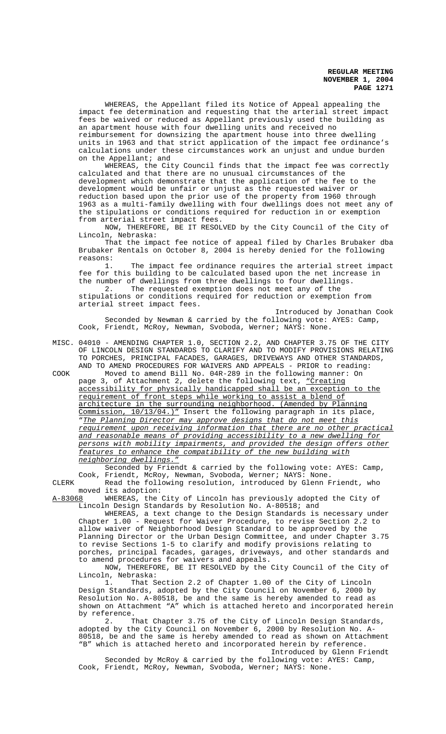WHEREAS, the Appellant filed its Notice of Appeal appealing the impact fee determination and requesting that the arterial street impact fees be waived or reduced as Appellant previously used the building as an apartment house with four dwelling units and received no reimbursement for downsizing the apartment house into three dwelling units in 1963 and that strict application of the impact fee ordinance's calculations under these circumstances work an unjust and undue burden on the Appellant; and

WHEREAS, the City Council finds that the impact fee was correctly calculated and that there are no unusual circumstances of the development which demonstrate that the application of the fee to the development would be unfair or unjust as the requested waiver or reduction based upon the prior use of the property from 1960 through 1963 as a multi-family dwelling with four dwellings does not meet any of the stipulations or conditions required for reduction in or exemption from arterial street impact fees.

NOW, THEREFORE, BE IT RESOLVED by the City Council of the City of Lincoln, Nebraska:

That the impact fee notice of appeal filed by Charles Brubaker dba Brubaker Rentals on October 8, 2004 is hereby denied for the following reasons:

The impact fee ordinance requires the arterial street impact fee for this building to be calculated based upon the net increase in the number of dwellings from three dwellings to four dwellings.<br>2. The requested exemption does not meet any of the The requested exemption does not meet any of the

stipulations or conditions required for reduction or exemption from arterial street impact fees.

Introduced by Jonathan Cook Seconded by Newman & carried by the following vote: AYES: Camp, Cook, Friendt, McRoy, Newman, Svoboda, Werner; NAYS: None.

MISC. 04010 - AMENDING CHAPTER 1.0, SECTION 2.2, AND CHAPTER 3.75 OF THE CITY OF LINCOLN DESIGN STANDARDS TO CLARIFY AND TO MODIFY PROVISIONS RELATING TO PORCHES, PRINCIPAL FACADES, GARAGES, DRIVEWAYS AND OTHER STANDARDS, AND TO AMEND PROCEDURES FOR WAIVERS AND APPEALS - PRIOR to reading:

COOK Moved to amend Bill No. 04R-289 in the following manner: On page 3, of Attachment 2, delete the following text, "Creating accessibility for physically handicapped shall be an exception to the requirement of front steps while working to assist a blend of architecture in the surrounding neighborhood. (Amended by Planning Commission, 10/13/04.)" Insert the following paragraph in its place, "The Planning Director may approve designs that do not meet this requirement upon receiving information that there are no other practical and reasonable means of providing accessibility to a new dwelling for persons with mobility impairments, and provided the design offers other features to enhance the compatibility of the new building with neighboring dwellings."

Seconded by Friendt & carried by the following vote: AYES: Camp, Cook, Friendt, McRoy, Newman, Svoboda, Werner; NAYS: None. CLERK Read the following resolution, introduced by Glenn Friendt, who

moved its adoption:

A-83068 WHEREAS, the City of Lincoln has previously adopted the City of Lincoln Design Standards by Resolution No. A-80518; and

WHEREAS, a text change to the Design Standards is necessary under Chapter 1.00 - Request for Waiver Procedure, to revise Section 2.2 to allow waiver of Neighborhood Design Standard to be approved by the Planning Director or the Urban Design Committee, and under Chapter 3.75 to revise Sections 1-5 to clarify and modify provisions relating to porches, principal facades, garages, driveways, and other standards and to amend procedures for waivers and appeals.

NOW, THEREFORE, BE IT RESOLVED by the City Council of the City of Lincoln, Nebraska:

1. That Section 2.2 of Chapter 1.00 of the City of Lincoln Design Standards, adopted by the City Council on November 6, 2000 by Resolution No. A-80518, be and the same is hereby amended to read as shown on Attachment "A" which is attached hereto and incorporated herein by reference.

2. That Chapter 3.75 of the City of Lincoln Design Standards, adopted by the City Council on November 6, 2000 by Resolution No. A-80518, be and the same is hereby amended to read as shown on Attachment "B" which is attached hereto and incorporated herein by reference. Introduced by Glenn Friendt

Seconded by McRoy & carried by the following vote: AYES: Camp, Cook, Friendt, McRoy, Newman, Svoboda, Werner; NAYS: None.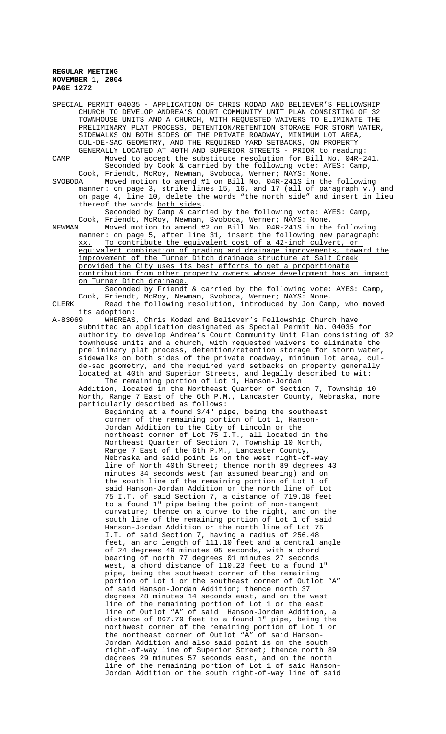| SPECIAL PERMIT 04035 - APPLICATION OF CHRIS KODAD AND BELIEVER'S FELLOWSHIP<br>CHURCH TO DEVELOP ANDREA'S COURT COMMUNITY UNIT PLAN CONSISTING OF 32<br>TOWNHOUSE UNITS AND A CHURCH, WITH REQUESTED WAIVERS TO ELIMINATE THE<br>PRELIMINARY PLAT PROCESS, DETENTION/RETENTION STORAGE FOR STORM WATER,<br>SIDEWALKS ON BOTH SIDES OF THE PRIVATE ROADWAY, MINIMUM LOT AREA,<br>CUL-DE-SAC GEOMETRY, AND THE REQUIRED YARD SETBACKS, ON PROPERTY |
|--------------------------------------------------------------------------------------------------------------------------------------------------------------------------------------------------------------------------------------------------------------------------------------------------------------------------------------------------------------------------------------------------------------------------------------------------|
| GENERALLY LOCATED AT 40TH AND SUPERIOR STREETS - PRIOR to reading:<br>Moved to accept the substitute resolution for Bill No. 04R-241.<br>CAMP<br>Seconded by Cook & carried by the following vote: AYES: Camp,<br>Cook, Friendt, McRoy, Newman, Svoboda, Werner; NAYS: None.                                                                                                                                                                     |
| Moved motion to amend #1 on Bill No. 04R-241S in the following<br>SVOBODA<br>manner: on page 3, strike lines 15, 16, and 17 (all of paragraph v.) and<br>on page 4, line 10, delete the words "the north side" and insert in lieu<br>thereof the words both sides.<br>Seconded by Camp & carried by the following vote: AYES: Camp,                                                                                                              |
| Cook, Friendt, McRoy, Newman, Svoboda, Werner; NAYS: None.<br>Moved motion to amend #2 on Bill No. 04R-241S in the following<br>NEWMAN<br>manner: on page 5, after line 31, insert the following new paragraph:<br>To contribute the equivalent cost of a 42-inch culvert, or<br>XX.                                                                                                                                                             |
| equivalent combination of grading and drainage improvements, toward the<br>improvement of the Turner Ditch drainage structure at Salt Creek<br>provided the City uses its best efforts to get a proportionate<br>contribution from other property owners whose development has an impact<br>on Turner Ditch drainage.                                                                                                                            |
| Seconded by Friendt & carried by the following vote: AYES: Camp,<br>Cook, Friendt, McRoy, Newman, Svoboda, Werner; NAYS: None.<br>Read the following resolution, introduced by Jon Camp, who moved<br>CLERK<br>its adoption:                                                                                                                                                                                                                     |
| WHEREAS, Chris Kodad and Believer's Fellowship Church have<br>A-83069<br>submitted an application designated as Special Permit No. 04035 for<br>authority to develop Andrea's Court Community Unit Plan consisting of 32<br>townhouse units and a church, with requested waivers to eliminate the                                                                                                                                                |
| preliminary plat process, detention/retention storage for storm water,<br>sidewalks on both sides of the private roadway, minimum lot area, cul-<br>de-sac geometry, and the required yard setbacks on property generally<br>located at 40th and Superior Streets, and legally described to wit:<br>The remaining portion of Lot 1, Hanson-Jordan                                                                                                |
| Addition, located in the Northeast Quarter of Section 7, Township 10<br>North, Range 7 East of the 6th P.M., Lancaster County, Nebraska, more<br>particularly described as follows:<br>Beginning at a found 3/4" pipe, being the southeast                                                                                                                                                                                                       |
| corner of the remaining portion of Lot 1, Hanson-<br>Jordan Addition to the City of Lincoln or the<br>northeast corner of Lot 75 I.T., all located in the<br>Northeast Quarter of Section 7, Township 10 North,                                                                                                                                                                                                                                  |
| Range 7 East of the 6th P.M., Lancaster County,<br>Nebraska and said point is on the west right-of-way<br>line of North 40th Street; thence north 89 degrees 43                                                                                                                                                                                                                                                                                  |
| minutes 34 seconds west (an assumed bearing) and on<br>the south line of the remaining portion of Lot 1 of<br>said Hanson-Jordan Addition or the north line of Lot<br>75 I.T. of said Section 7, a distance of 719.18 feet                                                                                                                                                                                                                       |
| to a found 1" pipe being the point of non-tangent<br>curvature; thence on a curve to the right, and on the<br>south line of the remaining portion of Lot 1 of said<br>Hanson-Jordan Addition or the north line of Lot 75                                                                                                                                                                                                                         |
| I.T. of said Section 7, having a radius of 256.48<br>feet, an arc length of 111.10 feet and a central angle<br>of 24 degrees 49 minutes 05 seconds, with a chord<br>bearing of north 77 degrees 01 minutes 27 seconds<br>west, a chord distance of 110.23 feet to a found 1"                                                                                                                                                                     |
| pipe, being the southwest corner of the remaining<br>portion of Lot 1 or the southeast corner of Outlot "A"<br>of said Hanson-Jordan Addition; thence north 37<br>degrees 28 minutes 14 seconds east, and on the west<br>line of the remaining portion of Lot 1 or the east                                                                                                                                                                      |
| line of Outlot "A" of said Hanson-Jordan Addition, a<br>distance of 867.79 feet to a found 1" pipe, being the<br>northwest corner of the remaining portion of Lot 1 or<br>the northeast corner of Outlot "A" of said Hanson-<br>Jordan Addition and also said point is on the south                                                                                                                                                              |
| right-of-way line of Superior Street; thence north 89<br>degrees 29 minutes 57 seconds east, and on the north<br>line of the remaining portion of Lot 1 of said Hanson-<br>Jordan Addition or the south right-of-way line of said                                                                                                                                                                                                                |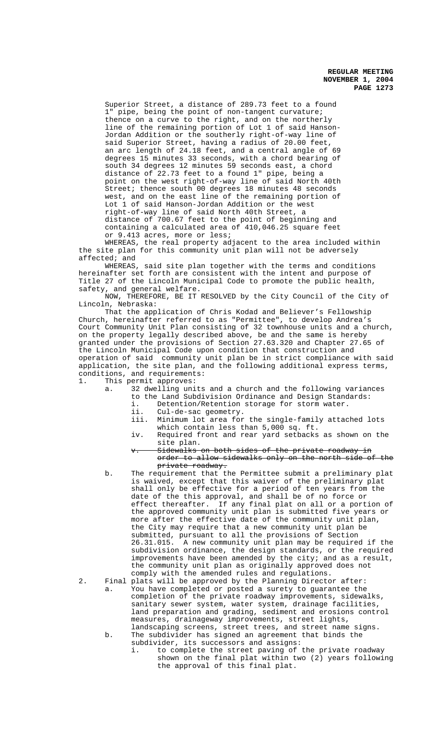Superior Street, a distance of 289.73 feet to a found 1" pipe, being the point of non-tangent curvature; thence on a curve to the right, and on the northerly line of the remaining portion of Lot 1 of said Hanson-Jordan Addition or the southerly right-of-way line of said Superior Street, having a radius of 20.00 feet, an arc length of 24.18 feet, and a central angle of 69 degrees 15 minutes 33 seconds, with a chord bearing of south 34 degrees 12 minutes 59 seconds east, a chord distance of 22.73 feet to a found 1" pipe, being a point on the west right-of-way line of said North 40th Street; thence south 00 degrees 18 minutes 48 seconds west, and on the east line of the remaining portion of Lot 1 of said Hanson-Jordan Addition or the west right-of-way line of said North 40th Street, a distance of 700.67 feet to the point of beginning and containing a calculated area of 410,046.25 square feet or 9.413 acres, more or less;

WHEREAS, the real property adjacent to the area included within the site plan for this community unit plan will not be adversely affected; and

WHEREAS, said site plan together with the terms and conditions hereinafter set forth are consistent with the intent and purpose of Title 27 of the Lincoln Municipal Code to promote the public health, safety, and general welfare.

NOW, THEREFORE, BE IT RESOLVED by the City Council of the City of Lincoln, Nebraska:

That the application of Chris Kodad and Believer's Fellowship Church, hereinafter referred to as "Permittee", to develop Andrea's Court Community Unit Plan consisting of 32 townhouse units and a church, on the property legally described above, be and the same is hereby granted under the provisions of Section 27.63.320 and Chapter 27.65 of the Lincoln Municipal Code upon condition that construction and operation of said community unit plan be in strict compliance with said application, the site plan, and the following additional express terms, conditions, and requirements:

1. This permit approves:

- a. 32 dwelling units and a church and the following variances to the Land Subdivision Ordinance and Design Standards:
	- i. Detention/Retention storage for storm water.
	- ii. Cul-de-sac geometry.
	- iii. Minimum lot area for the single-family attached lots which contain less than 5,000 sq. ft.
	- iv. Required front and rear yard setbacks as shown on the site plan.
	- v. Sidewalks on both sides of the private roadway in order to allow sidewalks only on the north side of the private roadway.
- b. The requirement that the Permittee submit a preliminary plat is waived, except that this waiver of the preliminary plat shall only be effective for a period of ten years from the date of the this approval, and shall be of no force or effect thereafter. If any final plat on all or a portion of the approved community unit plan is submitted five years or more after the effective date of the community unit plan, the City may require that a new community unit plan be submitted, pursuant to all the provisions of Section 26.31.015. A new community unit plan may be required if the subdivision ordinance, the design standards, or the required improvements have been amended by the city; and as a result, the community unit plan as originally approved does not comply with the amended rules and regulations.
- 2. Final plats will be approved by the Planning Director after: a. You have completed or posted a surety to guarantee the completion of the private roadway improvements, sidewalks, sanitary sewer system, water system, drainage facilities, land preparation and grading, sediment and erosions control measures, drainageway improvements, street lights,
	- landscaping screens, street trees, and street name signs. b. The subdivider has signed an agreement that binds the subdivider, its successors and assigns:
		- i. to complete the street paving of the private roadway shown on the final plat within two (2) years following the approval of this final plat.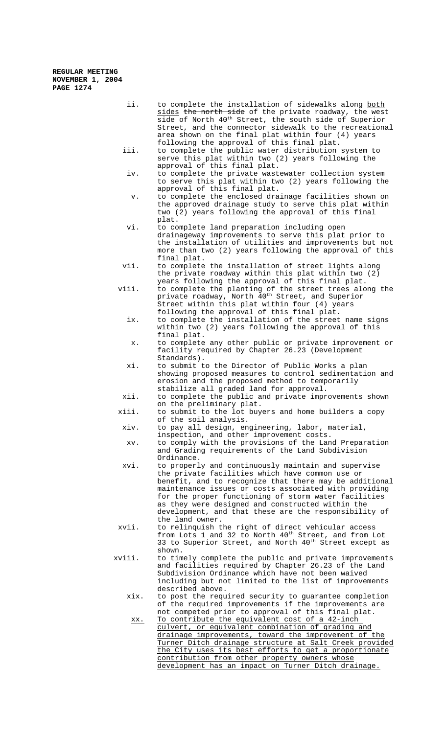ii. to complete the installation of sidewalks along both sides the north side of the private roadway, the west side of North 40th Street, the south side of Superior Street, and the connector sidewalk to the recreational area shown on the final plat within four (4) years following the approval of this final plat. iii. to complete the public water distribution system to serve this plat within two (2) years following the approval of this final plat. iv. to complete the private wastewater collection system to serve this plat within two (2) years following the approval of this final plat. v. to complete the enclosed drainage facilities shown on the approved drainage study to serve this plat within two (2) years following the approval of this final plat. vi. to complete land preparation including open drainageway improvements to serve this plat prior to the installation of utilities and improvements but not more than two (2) years following the approval of this final plat. vii. to complete the installation of street lights along the private roadway within this plat within two (2) years following the approval of this final plat. viii. to complete the planting of the street trees along the private roadway, North 40<sup>th</sup> Street, and Superior Street within this plat within four (4) years following the approval of this final plat. ix. to complete the installation of the street name signs within two (2) years following the approval of this final plat. x. to complete any other public or private improvement or facility required by Chapter 26.23 (Development Standards). xi. to submit to the Director of Public Works a plan showing proposed measures to control sedimentation and erosion and the proposed method to temporarily stabilize all graded land for approval. xii. to complete the public and private improvements shown on the preliminary plat. xiii. to submit to the lot buyers and home builders a copy of the soil analysis. xiv. to pay all design, engineering, labor, material, inspection, and other improvement costs. xv. to comply with the provisions of the Land Preparation and Grading requirements of the Land Subdivision Ordinance. xvi. to properly and continuously maintain and supervise the private facilities which have common use or benefit, and to recognize that there may be additional maintenance issues or costs associated with providing for the proper functioning of storm water facilities as they were designed and constructed within the development, and that these are the responsibility of the land owner. xvii. to relinquish the right of direct vehicular access from Lots 1 and 32 to North  $40<sup>th</sup>$  Street, and from Lot 33 to Superior Street, and North 40<sup>th</sup> Street except as shown. xviii. to timely complete the public and private improvements and facilities required by Chapter 26.23 of the Land Subdivision Ordinance which have not been waived including but not limited to the list of improvements described above. xix. to post the required security to guarantee completion of the required improvements if the improvements are not competed prior to approval of this final plat. xx. To contribute the equivalent cost of a 42-inch culvert, or equivalent combination of grading and drainage improvements, toward the improvement of the Turner Ditch drainage structure at Salt Creek provided the City uses its best efforts to get a proportionate contribution from other property owners whose development has an impact on Turner Ditch drainage.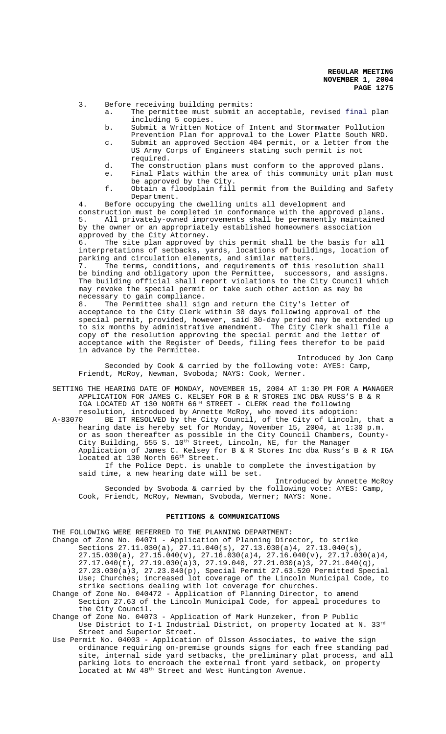3. Before receiving building permits:

- a. The permittee must submit an acceptable, revised final plan including 5 copies.
- b. Submit a Written Notice of Intent and Stormwater Pollution Prevention Plan for approval to the Lower Platte South NRD.
- c. Submit an approved Section 404 permit, or a letter from the US Army Corps of Engineers stating such permit is not required.
- d. The construction plans must conform to the approved plans.
- e. Final Plats within the area of this community unit plan must be approved by the City.
- f. Obtain a floodplain fill permit from the Building and Safety Department.

4. Before occupying the dwelling units all development and construction must be completed in conformance with the approved plans. 5. All privately-owned improvements shall be permanently maintained by the owner or an appropriately established homeowners association approved by the City Attorney.

6. The site plan approved by this permit shall be the basis for all interpretations of setbacks, yards, locations of buildings, location of parking and circulation elements, and similar matters.<br>7. The terms, conditions, and requirements of this

The terms, conditions, and requirements of this resolution shall be binding and obligatory upon the Permittee, successors, and assigns. The building official shall report violations to the City Council which may revoke the special permit or take such other action as may be necessary to gain compliance.

8. The Permittee shall sign and return the City's letter of acceptance to the City Clerk within 30 days following approval of the special permit, provided, however, said 30-day period may be extended up to six months by administrative amendment. The City Clerk shall file a copy of the resolution approving the special permit and the letter of acceptance with the Register of Deeds, filing fees therefor to be paid in advance by the Permittee.

Introduced by Jon Camp Seconded by Cook & carried by the following vote: AYES: Camp, Friendt, McRoy, Newman, Svoboda; NAYS: Cook, Werner.

SETTING THE HEARING DATE OF MONDAY, NOVEMBER 15, 2004 AT 1:30 PM FOR A MANAGER APPLICATION FOR JAMES C. KELSEY FOR B & R STORES INC DBA RUSS'S B & R IGA LOCATED AT 130 NORTH 66TH STREET - CLERK read the following resolution, introduced by Annette McRoy, who moved its adoption:

A-83070 BE IT RESOLVED by the City Council, of the City of Lincoln, that a hearing date is hereby set for Monday, November 15, 2004, at 1:30 p.m. or as soon thereafter as possible in the City Council Chambers, County-City Building, 555 S. 10<sup>th</sup> Street, Lincoln, NE, for the Manager Application of James C. Kelsey for B & R Stores Inc dba Russ's B & R IGA Apprication of bancs of horses

If the Police Dept. is unable to complete the investigation by said time, a new hearing date will be set.

Introduced by Annette McRoy Seconded by Svoboda & carried by the following vote: AYES: Camp, Cook, Friendt, McRoy, Newman, Svoboda, Werner; NAYS: None.

# **PETITIONS & COMMUNICATIONS**

THE FOLLOWING WERE REFERRED TO THE PLANNING DEPARTMENT:

- Change of Zone No. 04071 Application of Planning Director, to strike Sections 27.11.030(a), 27.11.040(s), 27.13.030(a)4, 27.13.040(s),  $27.15.030(a)$ ,  $27.15.040(v)$ ,  $27.16.030(a)4$ ,  $27.16.040(v)$ ,  $27.17.030(a)4$ , 27.17.040(t), 27.19.030(a)3, 27.19.040, 27.21.030(a)3, 27.21.040(q), 27.23.030(a)3, 27.23.040(p), Special Permit 27.63.520 Permitted Special Use; Churches; increased lot coverage of the Lincoln Municipal Code, to strike sections dealing with lot coverage for churches.
- Change of Zone No. 040472 Application of Planning Director, to amend Section 27.63 of the Lincoln Municipal Code, for appeal procedures to the City Council.
- Change of Zone No. 04073 Application of Mark Hunzeker, from P Public Use District to I-1 Industrial District, on property located at N. 33rd Street and Superior Street.
- Use Permit No. 04003 Application of Olsson Associates, to waive the sign ordinance requiring on-premise grounds signs for each free standing pad site, internal side yard setbacks, the preliminary plat process, and all parking lots to encroach the external front yard setback, on property 1<br>located at NW 48<sup>th</sup> Street and West Huntington Avenue.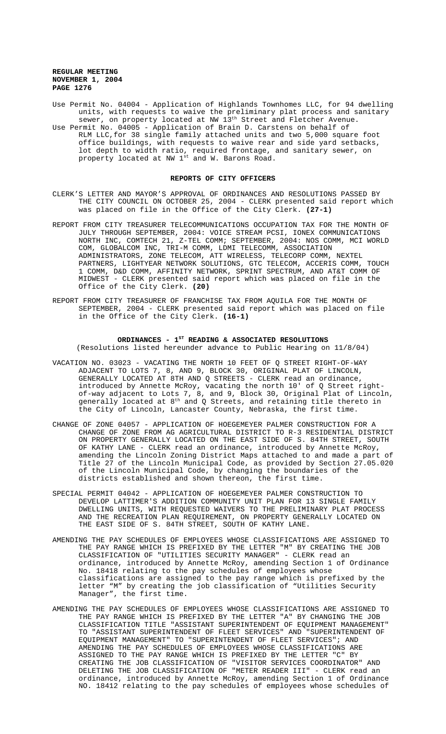- Use Permit No. 04004 Application of Highlands Townhomes LLC, for 94 dwelling units, with requests to waive the preliminary plat process and sanitary sewer, on property located at NW 13<sup>th</sup> Street and Fletcher Avenue.
- Use Permit No. 04005 Application of Brain D. Carstens on behalf of RLM LLC,for 38 single family attached units and two 5,000 square foot office buildings, with requests to waive rear and side yard setbacks, lot depth to width ratio, required frontage, and sanitary sewer, on property located at NW 1st and W. Barons Road.

## **REPORTS OF CITY OFFICERS**

- CLERK'S LETTER AND MAYOR'S APPROVAL OF ORDINANCES AND RESOLUTIONS PASSED BY THE CITY COUNCIL ON OCTOBER 25, 2004 - CLERK presented said report which was placed on file in the Office of the City Clerk. **(27-1)**
- REPORT FROM CITY TREASURER TELECOMMUNICATIONS OCCUPATION TAX FOR THE MONTH OF JULY THROUGH SEPTEMBER, 2004: VOICE STREAM PCSI, IONEX COMMUNICATIONS NORTH INC, COMTECH 21, Z-TEL COMM; SEPTEMBER, 2004: NOS COMM, MCI WORLD COM, GLOBALCOM INC, TRI-M COMM, LDMI TELECOMM, ASSOCIATION ADMINISTRATORS, ZONE TELECOM, ATT WIRELESS, TELECORP COMM, NEXTEL PARTNERS, LIGHTYEAR NETWORK SOLUTIONS, GTC TELECOM, ACCERIS COMM, TOUCH 1 COMM, D&D COMM, AFFINITY NETWORK, SPRINT SPECTRUM, AND AT&T COMM OF MIDWEST - CLERK presented said report which was placed on file in the Office of the City Clerk. **(20)**
- REPORT FROM CITY TREASURER OF FRANCHISE TAX FROM AQUILA FOR THE MONTH OF SEPTEMBER, 2004 - CLERK presented said report which was placed on file in the Office of the City Clerk. **(16-1)**

#### ORDINANCES - 1<sup>st</sup> READING & ASSOCIATED RESOLUTIONS (Resolutions listed hereunder advance to Public Hearing on 11/8/04)

- VACATION NO. 03023 VACATING THE NORTH 10 FEET OF Q STREET RIGHT-OF-WAY ADJACENT TO LOTS 7, 8, AND 9, BLOCK 30, ORIGINAL PLAT OF LINCOLN, GENERALLY LOCATED AT 8TH AND Q STREETS - CLERK read an ordinance, introduced by Annette McRoy, vacating the north 10' of Q Street rightof-way adjacent to Lots 7, 8, and 9, Block 30, Original Plat of Lincoln, generally located at  $8^{\text{th}}$  and Q Streets, and retaining title thereto in the City of Lincoln, Lancaster County, Nebraska, the first time.
- CHANGE OF ZONE 04057 APPLICATION OF HOEGEMEYER PALMER CONSTRUCTION FOR A CHANGE OF ZONE FROM AG AGRICULTURAL DISTRICT TO R-3 RESIDENTIAL DISTRICT ON PROPERTY GENERALLY LOCATED ON THE EAST SIDE OF S. 84TH STREET, SOUTH OF KATHY LANE - CLERK read an ordinance, introduced by Annette McRoy, amending the Lincoln Zoning District Maps attached to and made a part of Title 27 of the Lincoln Municipal Code, as provided by Section 27.05.020 of the Lincoln Municipal Code, by changing the boundaries of the districts established and shown thereon, the first time.
- SPECIAL PERMIT 04042 APPLICATION OF HOEGEMEYER PALMER CONSTRUCTION TO DEVELOP LATTIMER'S ADDITION COMMUNITY UNIT PLAN FOR 13 SINGLE FAMILY DWELLING UNITS, WITH REQUESTED WAIVERS TO THE PRELIMINARY PLAT PROCESS AND THE RECREATION PLAN REQUIREMENT, ON PROPERTY GENERALLY LOCATED ON THE EAST SIDE OF S. 84TH STREET, SOUTH OF KATHY LANE.
- AMENDING THE PAY SCHEDULES OF EMPLOYEES WHOSE CLASSIFICATIONS ARE ASSIGNED TO THE PAY RANGE WHICH IS PREFIXED BY THE LETTER "M" BY CREATING THE JOB CLASSIFICATION OF "UTILITIES SECURITY MANAGER" - CLERK read an ordinance, introduced by Annette McRoy, amending Section 1 of Ordinance No. 18418 relating to the pay schedules of employees whose classifications are assigned to the pay range which is prefixed by the letter "M" by creating the job classification of "Utilities Security Manager", the first time.
- AMENDING THE PAY SCHEDULES OF EMPLOYEES WHOSE CLASSIFICATIONS ARE ASSIGNED TO THE PAY RANGE WHICH IS PREFIXED BY THE LETTER "A" BY CHANGING THE JOB CLASSIFICATION TITLE "ASSISTANT SUPERINTENDENT OF EQUIPMENT MANAGEMENT" TO "ASSISTANT SUPERINTENDENT OF FLEET SERVICES" AND "SUPERINTENDENT OF EQUIPMENT MANAGEMENT" TO "SUPERINTENDENT OF FLEET SERVICES"; AND AMENDING THE PAY SCHEDULES OF EMPLOYEES WHOSE CLASSIFICATIONS ARE ASSIGNED TO THE PAY RANGE WHICH IS PREFIXED BY THE LETTER "C" BY CREATING THE JOB CLASSIFICATION OF "VISITOR SERVICES COORDINATOR" AND DELETING THE JOB CLASSIFICATION OF "METER READER III" - CLERK read an ordinance, introduced by Annette McRoy, amending Section 1 of Ordinance NO. 18412 relating to the pay schedules of employees whose schedules of